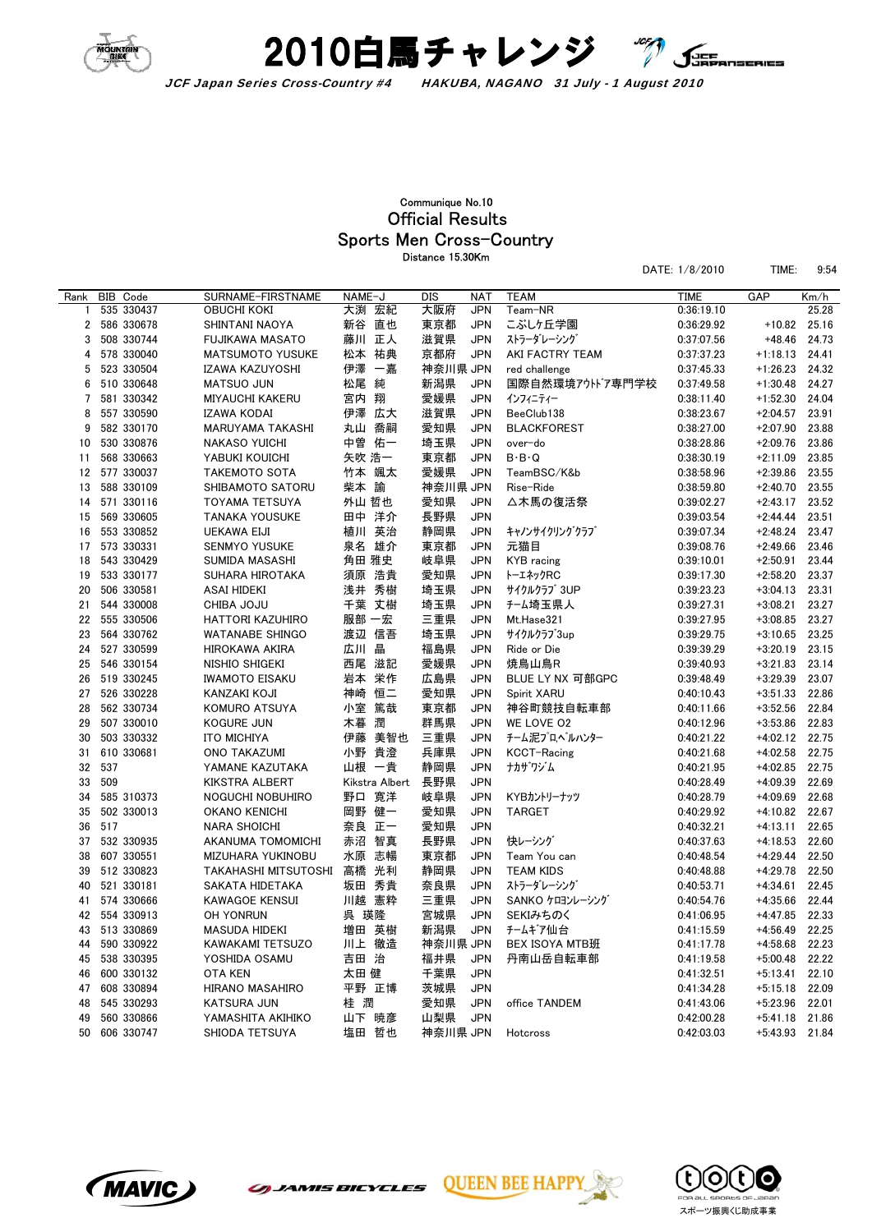



## Sports Men Cross-Country Official Results Communique No.10 Distance 15.30Km

|      |     |               |                         |        |                |            |            |                     | DATE: 1/8/2010 | TIME:            | 9:54  |
|------|-----|---------------|-------------------------|--------|----------------|------------|------------|---------------------|----------------|------------------|-------|
| Rank |     | BIB Code      | SURNAME-FIRSTNAME       | NAME-J |                | <b>DIS</b> | <b>NAT</b> | <b>TEAM</b>         | <b>TIME</b>    | GAP              | Km/h  |
| 1    |     | 535 330437    | OBUCHI KOKI             |        | 大渕 宏紀          | 大阪府        | <b>JPN</b> | Team-NR             | 0:36:19.10     |                  | 25.28 |
| 2    |     | 586 330678    | SHINTANI NAOYA          |        | 新谷 直也          | 東京都        | <b>JPN</b> | こぶしヶ丘学園             | 0:36:29.92     | $+10.82$         | 25.16 |
| 3    |     | 508 330744    | <b>FUJIKAWA MASATO</b>  |        | 藤川 正人          | 滋賀県        | <b>JPN</b> | ストラーダレーシング          | 0:37:07.56     | $+48.46$         | 24.73 |
| 4    |     | 578 330040    | <b>MATSUMOTO YUSUKE</b> |        | 松本 祐典          | 京都府        | <b>JPN</b> | AKI FACTRY TEAM     | 0:37:37.23     | $+1:18.13$       | 24.41 |
| 5    |     | 523 330504    | IZAWA KAZUYOSHI         | 伊澤     | 一嘉             | 神奈川県 JPN   |            | red challenge       | 0:37:45.33     | $+1:26.23$       | 24.32 |
| 6    |     | 510 330648    | <b>MATSUO JUN</b>       | 松尾 純   |                | 新潟県        | <b>JPN</b> | 国際自然環境アウトドア専門学校     | 0:37:49.58     | $+1:30.48$       | 24.27 |
| 7    |     | 581 330342    | <b>MIYAUCHI KAKERU</b>  | 宮内 翔   |                | 愛媛県        | <b>JPN</b> | インフィニティー            | 0:38:11.40     | $+1:52.30$       | 24.04 |
| 8    |     | 557 330590    | IZAWA KODAI             |        | 伊澤 広大          | 滋賀県        | <b>JPN</b> | BeeClub138          | 0:38:23.67     | $+2:04.57$       | 23.91 |
| 9    |     | 582 330170    | MARUYAMA TAKASHI        |        | 丸山 喬嗣          | 愛知県        | <b>JPN</b> | <b>BLACKFOREST</b>  | 0:38:27.00     | $+2:07.90$       | 23.88 |
| 10   |     | 530 330876    | NAKASO YUICHI           | 中曽     | 佑一             | 埼玉県        | <b>JPN</b> | over-do             | 0:38:28.86     | $+2:09.76$       | 23.86 |
| 11   |     | 568 330663    | YABUKI KOUICHI          | 矢吹 浩一  |                | 東京都        | <b>JPN</b> | $B \cdot B \cdot Q$ | 0:38:30.19     | $+2:11.09$       | 23.85 |
| 12   |     | 577 330037    | <b>TAKEMOTO SOTA</b>    |        | 竹本 颯太          | 愛媛県        | <b>JPN</b> | TeamBSC/K&b         | 0:38:58.96     | $+2:39.86$       | 23.55 |
| 13   |     | 588 330109    | SHIBAMOTO SATORU        | 柴本 諭   |                | 神奈川県 JPN   |            | Rise-Ride           | 0:38:59.80     | $+2:40.70$       | 23.55 |
| 14   |     | 571 330116    | TOYAMA TETSUYA          | 外山 哲也  |                | 愛知県        | <b>JPN</b> | △木馬の復活祭             | 0:39:02.27     | $+2:43.17$       | 23.52 |
| 15   |     | 569 330605    | <b>TANAKA YOUSUKE</b>   |        | 田中 洋介          | 長野県        | <b>JPN</b> |                     | 0:39:03.54     | $+2:44.44$       | 23.51 |
| 16   |     | 553 330852    | UEKAWA EIJI             |        | 植川 英治          | 静岡県        | <b>JPN</b> | キャノンサイクリングクラブ       | 0:39:07.34     | $+2:48.24$       | 23.47 |
| 17   |     | 573 330331    | <b>SENMYO YUSUKE</b>    |        | 泉名 雄介          | 東京都        | JPN        | 元猫目                 | 0:39:08.76     | $+2:49.66$       | 23.46 |
| 18   |     | 543 330429    | SUMIDA MASASHI          | 角田 雅史  |                | 岐阜県        | <b>JPN</b> | KYB racing          | 0:39:10.01     | $+2:50.91$       | 23.44 |
| 19   |     | 533 330177    | SUHARA HIROTAKA         |        | 須原 浩貴          | 愛知県        | <b>JPN</b> | トーエネックRC            | 0:39:17.30     | $+2:58.20$       | 23.37 |
| 20   |     | 506 330581    | ASAI HIDEKI             |        | 浅井 秀樹          | 埼玉県        | <b>JPN</b> | サイクルクラブ 3UP         | 0:39:23.23     | $+3:04.13$       | 23.31 |
| 21   |     | 544 330008    | CHIBA JOJU              |        | 千葉 丈樹          | 埼玉県        | JPN        | チーム埼玉県人             | 0:39:27.31     | $+3:08.21$       | 23.27 |
| 22   |     | 555 330506    | HATTORI KAZUHIRO        | 服部 一宏  |                | 三重県        | <b>JPN</b> | Mt.Hase321          | 0:39:27.95     | $+3:08.85$       | 23.27 |
| 23   |     | 564 330762    | <b>WATANABE SHINGO</b>  | 渡辺     | 信吾             | 埼玉県        | <b>JPN</b> | サイクルクラブ3up          | 0:39:29.75     | $+3:10.65$       | 23.25 |
| 24   |     | 527 330599    | HIROKAWA AKIRA          | 広川     | 晶              | 福島県        | <b>JPN</b> | Ride or Die         | 0:39:39.29     | $+3:20.19$       | 23.15 |
| 25   |     | 546 330154    | NISHIO SHIGEKI          |        | 西尾 滋記          | 愛媛県        | <b>JPN</b> | 焼鳥山鳥R               | 0:39:40.93     | $+3:21.83$       | 23.14 |
| 26   |     | 519 330245    | <b>IWAMOTO EISAKU</b>   |        | 岩本 栄作          | 広島県        | <b>JPN</b> | BLUE LY NX 可部GPC    | 0:39:48.49     | $+3:29.39$       | 23.07 |
| 27   |     | 526 330228    | KANZAKI KOJI            | 神崎     | 恒二             | 愛知県        | JPN        | Spirit XARU         | 0:40:10.43     | $+3:51.33$       | 22.86 |
| 28   |     | 562 330734    | KOMURO ATSUYA           | 小室     | 篤哉             | 東京都        | <b>JPN</b> | 神谷町競技自転車部           | 0:40:11.66     | $+3:52.56$       | 22.84 |
| 29   |     | 507 330010    | <b>KOGURE JUN</b>       | 木暮 潤   |                | 群馬県        | <b>JPN</b> | WE LOVE O2          | 0:40:12.96     | $+3:53.86$       | 22.83 |
| 30   |     | 503 330332    | <b>ITO MICHIYA</b>      | 伊藤     | 美智也            | 三重県        | <b>JPN</b> | チーム泥プロヘルハンター        | 0:40:21.22     | $+4:02.12$       | 22.75 |
| 31   |     | 610 330681    | ONO TAKAZUMI            |        | 小野 貴澄          | 兵庫県        | <b>JPN</b> | KCCT-Racing         | 0:40:21.68     | $+4:02.58$       | 22.75 |
| 32   | 537 |               | YAMANE KAZUTAKA         |        | 山根 一貴          | 静岡県        | <b>JPN</b> | ナカサ゛ワジム             | 0:40:21.95     | $+4:02.85$       | 22.75 |
| 33   | 509 |               | KIKSTRA ALBERT          |        | Kikstra Albert | 長野県        | <b>JPN</b> |                     | 0:40:28.49     | $+4:09.39$       | 22.69 |
| 34   |     | 585 310373    | NOGUCHI NOBUHIRO        |        | 野口 寛洋          | 岐阜県        | <b>JPN</b> | KYBカントリーナッツ         | 0:40:28.79     | $+4:09.69$       | 22.68 |
| 35   |     | 502 330013    | OKANO KENICHI           |        | 岡野 健一          | 愛知県        | <b>JPN</b> | <b>TARGET</b>       | 0:40:29.92     | $+4:10.82$       | 22.67 |
| 36   | 517 |               | <b>NARA SHOICHI</b>     |        | 奈良 正一          | 愛知県        | <b>JPN</b> |                     | 0:40:32.21     | $+4:13.11$       | 22.65 |
| 37   |     | 532 330935    | AKANUMA TOMOMICHI       | 赤沼     | 智真             | 長野県        | <b>JPN</b> | 快レーシング              | 0:40:37.63     | $+4:18.53$       | 22.60 |
| 38   |     | 607 330551    | MIZUHARA YUKINOBU       | 水原     | 志暢             | 東京都        | <b>JPN</b> | Team You can        | 0:40:48.54     | $+4:29.44$       | 22.50 |
| 39   |     | 512 330823    | TAKAHASHI MITSUTOSHI    | 高橋     | 光利             | 静岡県        | <b>JPN</b> | <b>TEAM KIDS</b>    | 0:40:48.88     | $+4:29.78$       | 22.50 |
| 40   |     | 521 330181    | SAKATA HIDETAKA         |        | 坂田 秀貴          | 奈良県        | <b>JPN</b> | ストラーダレーシング          | 0:40:53.71     | $+4:34.61$       | 22.45 |
| 41   |     | 574 330666    | <b>KAWAGOE KENSUI</b>   |        | 川越 憲粋          | 三重県        | <b>JPN</b> | SANKO ケロヨンレーシング     | 0:40:54.76     | $+4:35.66$       | 22.44 |
|      |     | 42 554 330913 | OH YONRUN               | 呉 瑛隆   |                | 宮城県        | <b>JPN</b> | SEKIみちのく            | 0:41:06.95     | +4:47.85 22.33   |       |
|      |     | 43 513 330869 | MASUDA HIDEKI           |        | 増田 英樹          | 新潟県 JPN    |            | チームギア仙台             | 0:41:15.59     | $+4:56.49$ 22.25 |       |
|      |     | 44 590 330922 | KAWAKAMI TETSUZO        |        | 川上 徹造          | 神奈川県 JPN   |            | BEX ISOYA MTB班      | 0:41:17.78     | +4:58.68         | 22.23 |
|      |     | 45 538 330395 | YOSHIDA OSAMU           | 吉田 治   |                | 福井県        | JPN        | 丹南山岳自転車部            | 0:41:19.58     | +5:00.48         | 22.22 |
|      |     | 46 600 330132 | <b>OTA KEN</b>          | 太田 健   |                | 千葉県        | <b>JPN</b> |                     | 0:41:32.51     | $+5:13.41$       | 22.10 |
|      |     | 47 608 330894 | HIRANO MASAHIRO         |        | 平野 正博          | 茨城県        | <b>JPN</b> |                     | 0:41:34.28     | $+5:15.18$ 22.09 |       |
| 48   |     | 545 330293    | KATSURA JUN             | 桂 潤    |                | 愛知県        | JPN        | office TANDEM       | 0:41:43.06     | +5:23.96         | 22.01 |
| 49   |     |               |                         |        | 山下 暁彦          |            |            |                     |                |                  |       |
|      |     | 560 330866    | YAMASHITA AKIHIKO       |        |                | 山梨県        | JPN        |                     | 0:42:00.28     | +5:41.18         | 21.86 |
|      |     | 50 606 330747 | SHIODA TETSUYA          |        | 塩田 哲也          | 神奈川県 JPN   |            | Hotcross            | 0:42:03.03     | $+5:43.93$ 21.84 |       |



*GUANIS BICYCLES* 



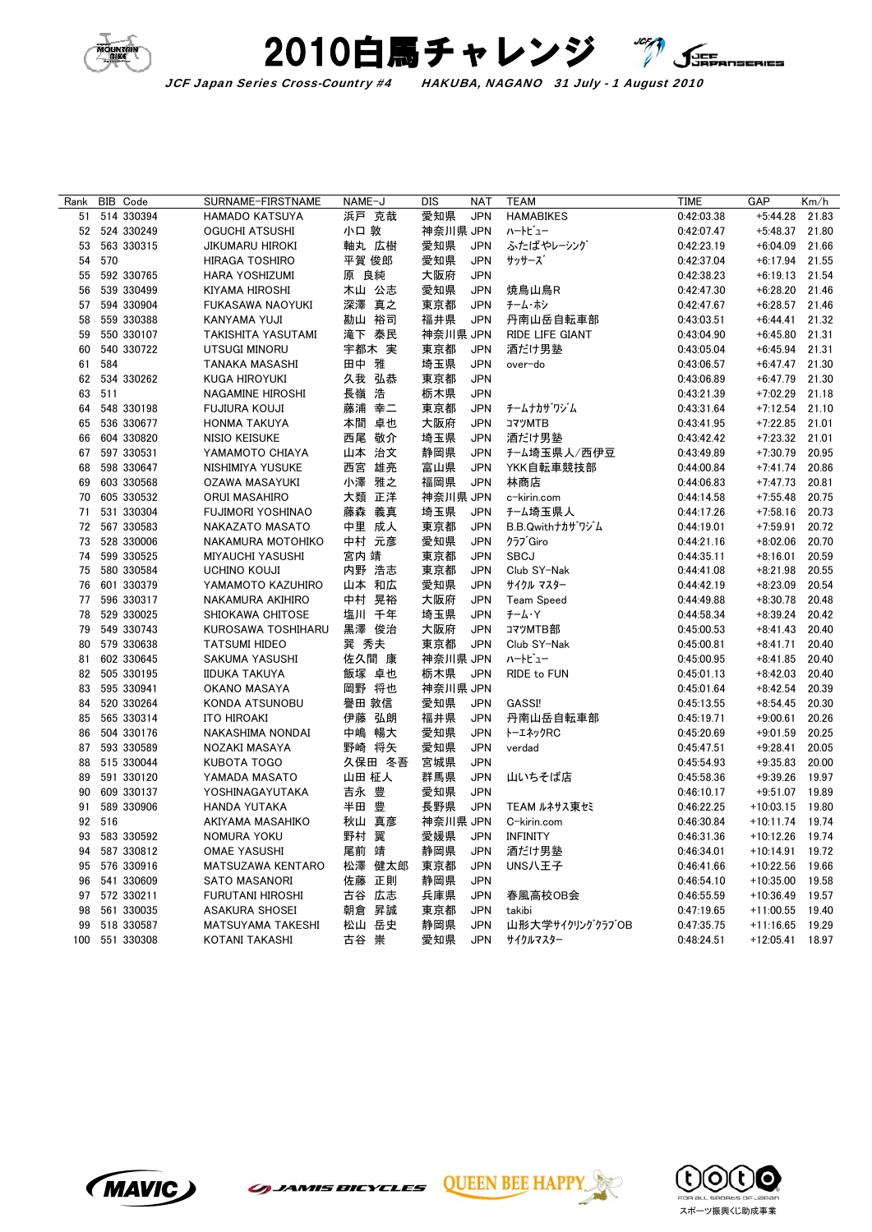



JCF Japan Series Cross-Country #4 HAKUBA, NAGANO 31 July - 1 August 2010

| Rank     |     | BIB Code      | SURNAME-FIRSTNAME                    | NAME-J |        | DIS        | <b>NAT</b>               | <b>TEAM</b>                | <b>TIME</b>              | GAP                      | Km/h  |
|----------|-----|---------------|--------------------------------------|--------|--------|------------|--------------------------|----------------------------|--------------------------|--------------------------|-------|
| 51       |     | 514 330394    | HAMADO KATSUYA                       |        | 浜戸 克哉  | 愛知県        | <b>JPN</b>               | <b>HAMABIKES</b>           | 0:42:03.38               | $+5:44.28$               | 21.83 |
|          |     | 52 524 330249 | OGUCHI ATSUSHI                       | 小口 敦   |        | 神奈川県 JPN   |                          | ハートビュー                     | 0:42:07.47               | $+5:48.37$               | 21.80 |
| 53       |     | 563 330315    | JIKUMARU HIROKI                      | 軸丸 広樹  |        | 愛知県        | <b>JPN</b>               | ふたばやレーシング                  | 0:42:23.19               | $+6:04.09$               | 21.66 |
| 54       | 570 |               | HIRAGA TOSHIRO                       | 平賀 俊郎  |        | 愛知県        | <b>JPN</b>               | サッサーズ                      | 0:42:37.04               | $+6:17.94$               | 21.55 |
| 55       |     | 592 330765    | HARA YOSHIZUMI                       | 原 良純   |        | 大阪府        | <b>JPN</b>               |                            | 0:42:38.23               | $+6:19.13$               | 21.54 |
| 56       |     | 539 330499    | KIYAMA HIROSHI                       | 木山 公志  |        | 愛知県        | <b>JPN</b>               | 焼鳥山鳥R                      | 0:42:47.30               | $+6:28.20$               | 21.46 |
| 57       |     | 594 330904    | FUKASAWA NAOYUKI                     | 深澤 真之  |        | 東京都        | <b>JPN</b>               | チーム・ホシ                     | 0:42:47.67               | $+6:28.57$               | 21.46 |
| 58       |     | 559 330388    | KANYAMA YUJI                         | 勘山 裕司  |        | 福井県        | <b>JPN</b>               | 丹南山岳自転車部                   | 0:43:03.51               | $+6:44.41$               | 21.32 |
| 59       |     | 550 330107    | TAKISHITA YASUTAMI                   |        | 滝下 泰民  | 神奈川県 JPN   |                          | RIDE LIFE GIANT            | 0:43:04.90               | $+6:45.80$               | 21.31 |
| 60       |     | 540 330722    | UTSUGI MINORU                        |        | 宇都木 実  | 東京都        | <b>JPN</b>               | 酒だけ男塾                      | 0:43:05.04               | $+6:45.94$               | 21.31 |
| 61       | 584 |               | TANAKA MASASHI                       | 田中 雅   |        | 埼玉県        | <b>JPN</b>               | over-do                    | 0:43:06.57               | $+6:47.47$               | 21.30 |
| 62       |     | 534 330262    | KUGA HIROYUKI                        |        | 久我 弘恭  | 東京都        | <b>JPN</b>               |                            | 0:43:06.89               | $+6:47.79$               | 21.30 |
| 63       | 511 |               | NAGAMINE HIROSHI                     | 長嶺 浩   |        | 栃木県        | <b>JPN</b>               |                            | 0:43:21.39               | $+7:02.29$               | 21.18 |
| 64       |     | 548 330198    | FUJIURA KOUJI                        | 藤浦 幸二  |        | 東京都        | <b>JPN</b>               | チームナカザワジム                  | 0:43:31.64               | $+7:12.54$               | 21.10 |
| 65       |     | 536 330677    | HONMA TAKUYA                         | 本間 卓也  |        | 大阪府        | <b>JPN</b>               | コマツMTB                     | 0:43:41.95               | $+7:22.85$               | 21.01 |
| 66       |     | 604 330820    | NISIO KEISUKE                        | 西尾 敬介  |        | 埼玉県        | <b>JPN</b>               | 酒だけ男塾                      | 0:43:42.42               | $+7:23.32$               | 21.01 |
| 67       |     | 597 330531    | YAMAMOTO CHIAYA                      |        | 山本 治文  | 静岡県        | <b>JPN</b>               | チーム埼玉県人/西伊豆                | 0:43:49.89               | $+7:30.79$               | 20.95 |
| 68       |     | 598 330647    | NISHIMIYA YUSUKE                     | 西宮     | 雄亮     | 富山県        | <b>JPN</b>               | YKK自転車競技部                  | 0:44:00.84               | $+7:41.74$               | 20.86 |
| 69       |     | 603 330568    | OZAWA MASAYUKI                       | 小澤 雅之  |        | 福岡県        | <b>JPN</b>               | 林商店                        | 0:44:06.83               | $+7:47.73$               | 20.81 |
| 70       |     | 605 330532    |                                      |        | 大類 正洋  | 神奈川県 JPN   |                          | c-kirin.com                |                          | $+7:55.48$               | 20.75 |
|          |     | 531 330304    | ORUI MASAHIRO                        |        |        |            |                          |                            | 0:44:14.58               |                          | 20.73 |
| 71<br>72 |     | 567 330583    | FUJIMORI YOSHINAO<br>NAKAZATO MASATO | 藤森 義真  | 中里 成人  | 埼玉県<br>東京都 | <b>JPN</b><br><b>JPN</b> | チーム埼玉県人<br>B.B.Qwithナカザリジム | 0:44:17.26<br>0:44:19.01 | $+7:58.16$<br>$+7:59.91$ | 20.72 |
|          |     |               |                                      |        |        |            | <b>JPN</b>               |                            |                          |                          | 20.70 |
| 73       |     | 528 330006    | NAKAMURA MOTOHIKO                    |        | 中村 元彦  | 愛知県        |                          | クラブ Giro                   | 0:44:21.16               | $+8:02.06$               |       |
| 74       |     | 599 330525    | <b>MIYAUCHI YASUSHI</b>              | 宮内 靖   |        | 東京都        | <b>JPN</b>               | <b>SBCJ</b>                | 0:44:35.11               | $+8:16.01$               | 20.59 |
| 75       |     | 580 330584    | <b>UCHINO KOUJI</b>                  | 内野 浩志  |        | 東京都        | <b>JPN</b>               | Club SY-Nak                | 0:44:41.08               | $+8:21.98$               | 20.55 |
| 76       |     | 601 330379    | YAMAMOTO KAZUHIRO                    |        | 山本 和広  | 愛知県        | <b>JPN</b>               | サイクル マスター                  | 0:44:42.19               | $+8:23.09$               | 20.54 |
| 77       |     | 596 330317    | NAKAMURA AKIHIRO                     |        | 中村 晃裕  | 大阪府        | <b>JPN</b>               | <b>Team Speed</b>          | 0:44:49.88               | $+8:30.78$               | 20.48 |
| 78       |     | 529 330025    | SHIOKAWA CHITOSE                     | 塩川 千年  |        | 埼玉県        | <b>JPN</b>               | $F - L \cdot Y$            | 0:44:58.34               | $+8:39.24$               | 20.42 |
| 79       |     | 549 330743    | KUROSAWA TOSHIHARU                   |        | 黒澤 俊治  | 大阪府        | <b>JPN</b>               | コマツMTB部                    | 0:45:00.53               | $+8:41.43$               | 20.40 |
| 80       |     | 579 330638    | <b>TATSUMI HIDEO</b>                 | 巽 秀夫   |        | 東京都        | <b>JPN</b>               | Club SY-Nak                | 0:45:00.81               | $+8:41.71$               | 20.40 |
| 81       |     | 602 330645    | SAKUMA YASUSHI                       | 佐久間 康  |        | 神奈川県 JPN   |                          | ハートビュー                     | 0:45:00.95               | $+8:41.85$               | 20.40 |
| 82       |     | 505 330195    | <b>IIDUKA TAKUYA</b>                 | 飯塚 卓也  |        | 栃木県        | <b>JPN</b>               | RIDE to FUN                | 0:45:01.13               | $+8:42.03$               | 20.40 |
| 83       |     | 595 330941    | OKANO MASAYA                         | 岡野 将也  |        | 神奈川県 JPN   |                          |                            | 0:45:01.64               | $+8:42.54$               | 20.39 |
| 84       |     | 520 330264    | KONDA ATSUNOBU                       | 譽田 敦信  |        | 愛知県        | <b>JPN</b>               | GASSI!                     | 0:45:13.55               | $+8:54.45$               | 20.30 |
| 85       |     | 565 330314    | ITO HIROAKI                          | 伊藤 弘朗  |        | 福井県        | <b>JPN</b>               | 丹南山岳自転車部                   | 0:45:19.71               | $+9:00.61$               | 20.26 |
| 86       |     | 504 330176    | NAKASHIMA NONDAI                     |        | 中嶋 暢大  | 愛知県        | <b>JPN</b>               | トーエネックRC                   | 0:45:20.69               | $+9:01.59$               | 20.25 |
| 87       |     | 593 330589    | NOZAKI MASAYA                        |        | 野崎 将矢  | 愛知県        | <b>JPN</b>               | verdad                     | 0:45:47.51               | $+9:28.41$               | 20.05 |
| 88       |     | 515 330044    | KUBOTA TOGO                          |        | 久保田 冬吾 | 宮城県        | <b>JPN</b>               |                            | 0:45:54.93               | $+9:35.83$               | 20.00 |
| 89       |     | 591 330120    | YAMADA MASATO                        | 山田 柾人  |        | 群馬県        | <b>JPN</b>               | 山いちそば店                     | 0:45:58.36               | $+9:39.26$               | 19.97 |
| 90       |     | 609 330137    | YOSHINAGAYUTAKA                      | 吉永 豊   |        | 愛知県        | <b>JPN</b>               |                            | 0:46:10.17               | $+9:51.07$               | 19.89 |
| 91       |     | 589 330906    | HANDA YUTAKA                         | 半田 豊   |        | 長野県        | <b>JPN</b>               | TEAM ルネサス東セミ               | 0:46:22.25               | $+10:03.15$              | 19.80 |
| 92       | 516 |               | AKIYAMA MASAHIKO                     |        | 秋山 真彦  | 神奈川県 JPN   |                          | C-kirin.com                | 0:46:30.84               | $+10:11.74$              | 19.74 |
| 93       |     | 583 330592    | NOMURA YOKU                          | 野村 翼   |        | 愛媛県        | <b>JPN</b>               | <b>INFINITY</b>            | 0:46:31.36               | $+10:12.26$              | 19.74 |
| 94       |     | 587 330812    | OMAE YASUSHI                         | 尾前 靖   |        | 静岡県        | <b>JPN</b>               | 酒だけ男塾                      | 0:46:34.01               | $+10:14.91$              | 19.72 |
| 95       |     | 576 330916    | MATSUZAWA KENTARO                    |        | 松澤 健太郎 | 東京都        | <b>JPN</b>               | UNS八王子                     | 0:46:41.66               | $+10:22.56$              | 19.66 |
| 96       |     | 541 330609    | <b>SATO MASANORI</b>                 |        | 佐藤 正則  | 静岡県        | <b>JPN</b>               |                            | 0:46:54.10               | $+10:35.00$              | 19.58 |
| 97       |     | 572 330211    | <b>FURUTANI HIROSHI</b>              |        | 古谷 広志  | 兵庫県        | <b>JPN</b>               | 春風高校OB会                    | 0:46:55.59               | $+10:36.49$              | 19.57 |
| 98       |     | 561 330035    | ASAKURA SHOSEI                       | 朝倉     | 昇誠     | 東京都        | <b>JPN</b>               | takibi                     | 0:47:19.65               | $+11:00.55$              | 19.40 |
| 99       |     | 518 330587    | MATSUYAMA TAKESHI                    | 松山 岳史  |        | 静岡県        | <b>JPN</b>               | 山形大学サイクリングクラブOB            | 0:47:35.75               | $+11:16.65$              | 19.29 |
| 100      |     | 551 330308    | KOTANI TAKASHI                       | 古谷 崇   |        | 愛知県        | <b>JPN</b>               | サイクルマスター                   | 0:48:24.51               | $+12:05.41$              | 18.97 |



(MAVIC)